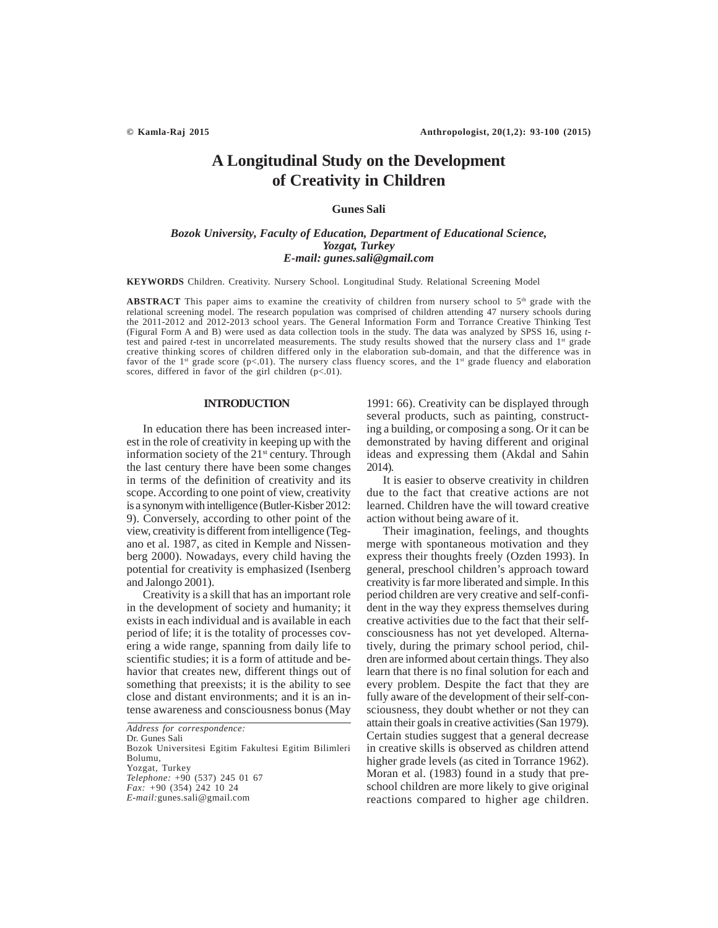# **A Longitudinal Study on the Development of Creativity in Children**

# **Gunes Sali**

# *Bozok University, Faculty of Education, Department of Educational Science, Yozgat, Turkey E-mail: gunes.sali@gmail.com*

**KEYWORDS** Children. Creativity. Nursery School. Longitudinal Study. Relational Screening Model

ABSTRACT This paper aims to examine the creativity of children from nursery school to 5<sup>th</sup> grade with the relational screening model. The research population was comprised of children attending 47 nursery schools during the 2011-2012 and 2012-2013 school years. The General Information Form and Torrance Creative Thinking Test (Figural Form A and B) were used as data collection tools in the study. The data was analyzed by SPSS 16, using *t*test and paired *t*-test in uncorrelated measurements. The study results showed that the nursery class and 1<sup>st</sup> grade creative thinking scores of children differed only in the elaboration sub-domain, and that the difference was in favor of the 1<sup>st</sup> grade score (p<.01). The nursery class fluency scores, and the 1<sup>st</sup> grade fluency and elaboration scores, differed in favor of the girl children  $(p<01)$ .

### **INTRODUCTION**

In education there has been increased interest in the role of creativity in keeping up with the information society of the  $21<sup>st</sup>$  century. Through the last century there have been some changes in terms of the definition of creativity and its scope. According to one point of view, creativity is a synonym with intelligence (Butler-Kisber 2012: 9). Conversely, according to other point of the view, creativity is different from intelligence (Tegano et al. 1987, as cited in Kemple and Nissenberg 2000). Nowadays, every child having the potential for creativity is emphasized (Isenberg and Jalongo 2001).

Creativity is a skill that has an important role in the development of society and humanity; it exists in each individual and is available in each period of life; it is the totality of processes covering a wide range, spanning from daily life to scientific studies; it is a form of attitude and behavior that creates new, different things out of something that preexists; it is the ability to see close and distant environments; and it is an intense awareness and consciousness bonus (May

*Address for correspondence:* Dr. Gunes Sali Bozok Universitesi Egitim Fakultesi Egitim Bilimleri Bolumu, Yozgat, Turkey *Telephone:* +90 (537) 245 01 67 *Fax: +*90 (354) 242 10 24 *E-mail:*gunes.sali@gmail.com

1991: 66). Creativity can be displayed through several products, such as painting, constructing a building, or composing a song. Or it can be demonstrated by having different and original ideas and expressing them (Akdal and Sahin 2014).

It is easier to observe creativity in children due to the fact that creative actions are not learned. Children have the will toward creative action without being aware of it.

Their imagination, feelings, and thoughts merge with spontaneous motivation and they express their thoughts freely (Ozden 1993). In general, preschool children's approach toward creativity is far more liberated and simple. In this period children are very creative and self-confident in the way they express themselves during creative activities due to the fact that their selfconsciousness has not yet developed. Alternatively, during the primary school period, children are informed about certain things. They also learn that there is no final solution for each and every problem. Despite the fact that they are fully aware of the development of their self-consciousness, they doubt whether or not they can attain their goals in creative activities (San 1979). Certain studies suggest that a general decrease in creative skills is observed as children attend higher grade levels (as cited in Torrance 1962). Moran et al. (1983) found in a study that preschool children are more likely to give original reactions compared to higher age children.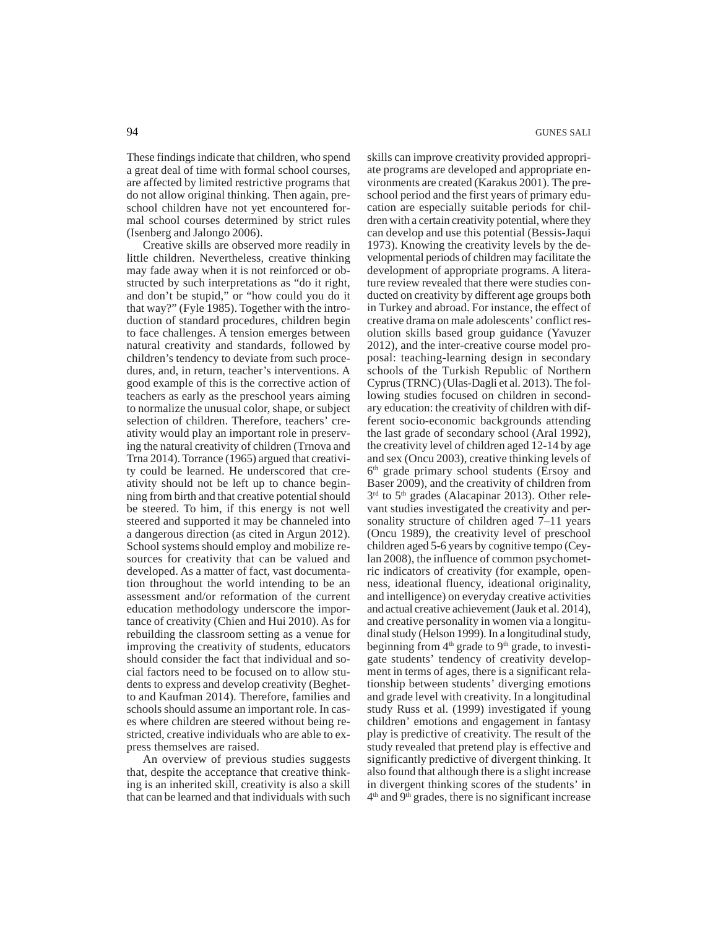These findings indicate that children, who spend a great deal of time with formal school courses, are affected by limited restrictive programs that do not allow original thinking. Then again, preschool children have not yet encountered formal school courses determined by strict rules (Isenberg and Jalongo 2006).

Creative skills are observed more readily in little children. Nevertheless, creative thinking may fade away when it is not reinforced or obstructed by such interpretations as "do it right, and don't be stupid," or "how could you do it that way?" (Fyle 1985). Together with the introduction of standard procedures, children begin to face challenges. A tension emerges between natural creativity and standards, followed by children's tendency to deviate from such procedures, and, in return, teacher's interventions. A good example of this is the corrective action of teachers as early as the preschool years aiming to normalize the unusual color, shape, or subject selection of children. Therefore, teachers' creativity would play an important role in preserving the natural creativity of children (Trnova and Trna 2014). Torrance (1965) argued that creativity could be learned. He underscored that creativity should not be left up to chance beginning from birth and that creative potential should be steered. To him, if this energy is not well steered and supported it may be channeled into a dangerous direction (as cited in Argun 2012). School systems should employ and mobilize resources for creativity that can be valued and developed. As a matter of fact, vast documentation throughout the world intending to be an assessment and/or reformation of the current education methodology underscore the importance of creativity (Chien and Hui 2010). As for rebuilding the classroom setting as a venue for improving the creativity of students, educators should consider the fact that individual and social factors need to be focused on to allow students to express and develop creativity (Beghetto and Kaufman 2014). Therefore, families and schools should assume an important role. In cases where children are steered without being restricted, creative individuals who are able to express themselves are raised.

An overview of previous studies suggests that, despite the acceptance that creative thinking is an inherited skill, creativity is also a skill that can be learned and that individuals with such skills can improve creativity provided appropriate programs are developed and appropriate environments are created (Karakus 2001). The preschool period and the first years of primary education are especially suitable periods for children with a certain creativity potential, where they can develop and use this potential (Bessis-Jaqui 1973). Knowing the creativity levels by the developmental periods of children may facilitate the development of appropriate programs. A literature review revealed that there were studies conducted on creativity by different age groups both in Turkey and abroad. For instance, the effect of creative drama on male adolescents' conflict resolution skills based group guidance (Yavuzer 2012), and the inter-creative course model proposal: teaching-learning design in secondary schools of the Turkish Republic of Northern Cyprus (TRNC) (Ulas-Dagli et al. 2013). The following studies focused on children in secondary education: the creativity of children with different socio-economic backgrounds attending the last grade of secondary school (Aral 1992), the creativity level of children aged 12-14 by age and sex (Oncu 2003), creative thinking levels of 6<sup>th</sup> grade primary school students (Ersoy and Baser 2009), and the creativity of children from 3<sup>rd</sup> to 5<sup>th</sup> grades (Alacapinar 2013). Other relevant studies investigated the creativity and personality structure of children aged 7–11 years (Oncu 1989), the creativity level of preschool children aged 5-6 years by cognitive tempo (Ceylan 2008), the influence of common psychometric indicators of creativity (for example, openness, ideational fluency, ideational originality, and intelligence) on everyday creative activities and actual creative achievement (Jauk et al. 2014), and creative personality in women via a longitudinal study (Helson 1999). In a longitudinal study, beginning from  $4<sup>th</sup>$  grade to  $9<sup>th</sup>$  grade, to investigate students' tendency of creativity development in terms of ages, there is a significant relationship between students' diverging emotions and grade level with creativity. In a longitudinal study Russ et al. (1999) investigated if young children' emotions and engagement in fantasy play is predictive of creativity. The result of the study revealed that pretend play is effective and significantly predictive of divergent thinking. It also found that although there is a slight increase in divergent thinking scores of the students' in  $4<sup>th</sup>$  and  $9<sup>th</sup>$  grades, there is no significant increase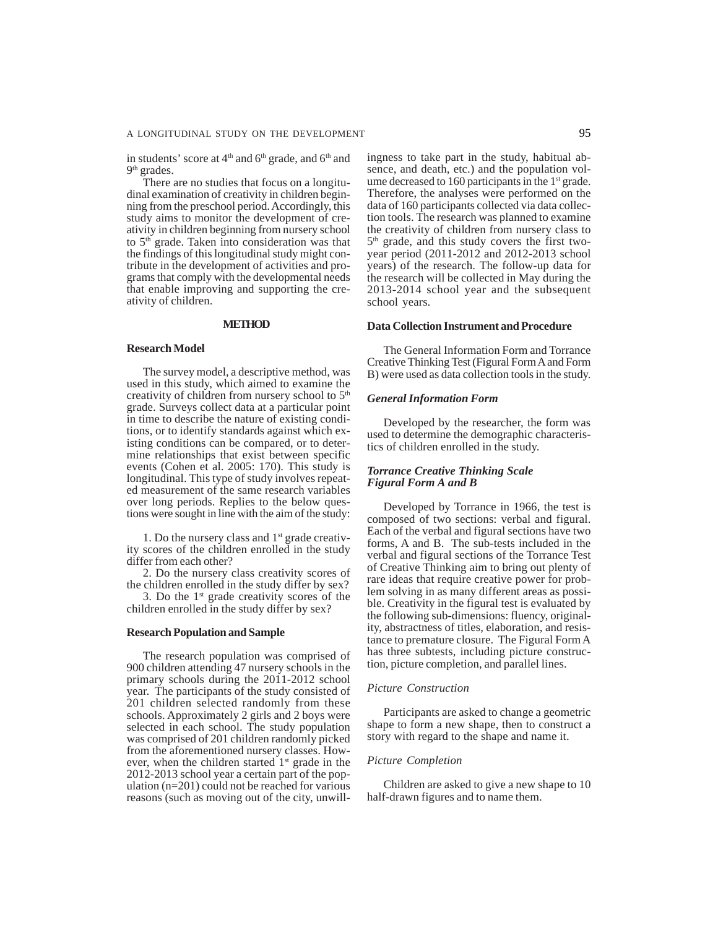in students' score at  $4<sup>th</sup>$  and  $6<sup>th</sup>$  grade, and  $6<sup>th</sup>$  and 9<sup>th</sup> grades.

There are no studies that focus on a longitudinal examination of creativity in children beginning from the preschool period. Accordingly, this study aims to monitor the development of creativity in children beginning from nursery school to 5<sup>th</sup> grade. Taken into consideration was that the findings of this longitudinal study might contribute in the development of activities and programs that comply with the developmental needs that enable improving and supporting the creativity of children.

# **METHOD**

#### **Research Model**

The survey model, a descriptive method, was used in this study, which aimed to examine the creativity of children from nursery school to  $5<sup>th</sup>$ grade. Surveys collect data at a particular point in time to describe the nature of existing conditions, or to identify standards against which existing conditions can be compared, or to determine relationships that exist between specific events (Cohen et al. 2005: 170). This study is longitudinal. This type of study involves repeated measurement of the same research variables over long periods. Replies to the below questions were sought in line with the aim of the study:

1. Do the nursery class and  $1<sup>st</sup>$  grade creativity scores of the children enrolled in the study differ from each other?

2. Do the nursery class creativity scores of the children enrolled in the study differ by sex?

3. Do the  $1<sup>st</sup>$  grade creativity scores of the children enrolled in the study differ by sex?

#### **Research Population and Sample**

The research population was comprised of 900 children attending 47 nursery schools in the primary schools during the 2011-2012 school year. The participants of the study consisted of 201 children selected randomly from these schools. Approximately 2 girls and 2 boys were selected in each school. The study population was comprised of 201 children randomly picked from the aforementioned nursery classes. However, when the children started  $1<sup>st</sup>$  grade in the 2012-2013 school year a certain part of the population (n=201) could not be reached for various reasons (such as moving out of the city, unwillingness to take part in the study, habitual absence, and death, etc.) and the population volume decreased to 160 participants in the  $1<sup>st</sup>$  grade. Therefore, the analyses were performed on the data of 160 participants collected via data collection tools. The research was planned to examine the creativity of children from nursery class to 5th grade, and this study covers the first twoyear period (2011-2012 and 2012-2013 school years) of the research. The follow-up data for the research will be collected in May during the 2013-2014 school year and the subsequent school years.

# **Data Collection Instrument and Procedure**

The General Information Form and Torrance Creative Thinking Test (Figural Form A and Form B) were used as data collection tools in the study.

### *General Information Form*

Developed by the researcher, the form was used to determine the demographic characteristics of children enrolled in the study.

# *Torrance Creative Thinking Scale Figural Form A and B*

Developed by Torrance in 1966, the test is composed of two sections: verbal and figural. Each of the verbal and figural sections have two forms, A and B. The sub-tests included in the verbal and figural sections of the Torrance Test of Creative Thinking aim to bring out plenty of rare ideas that require creative power for problem solving in as many different areas as possible. Creativity in the figural test is evaluated by the following sub-dimensions: fluency, originality, abstractness of titles, elaboration, and resistance to premature closure. The Figural Form A has three subtests, including picture construction, picture completion, and parallel lines.

# *Picture Construction*

Participants are asked to change a geometric shape to form a new shape, then to construct a story with regard to the shape and name it.

#### *Picture Completion*

Children are asked to give a new shape to 10 half-drawn figures and to name them.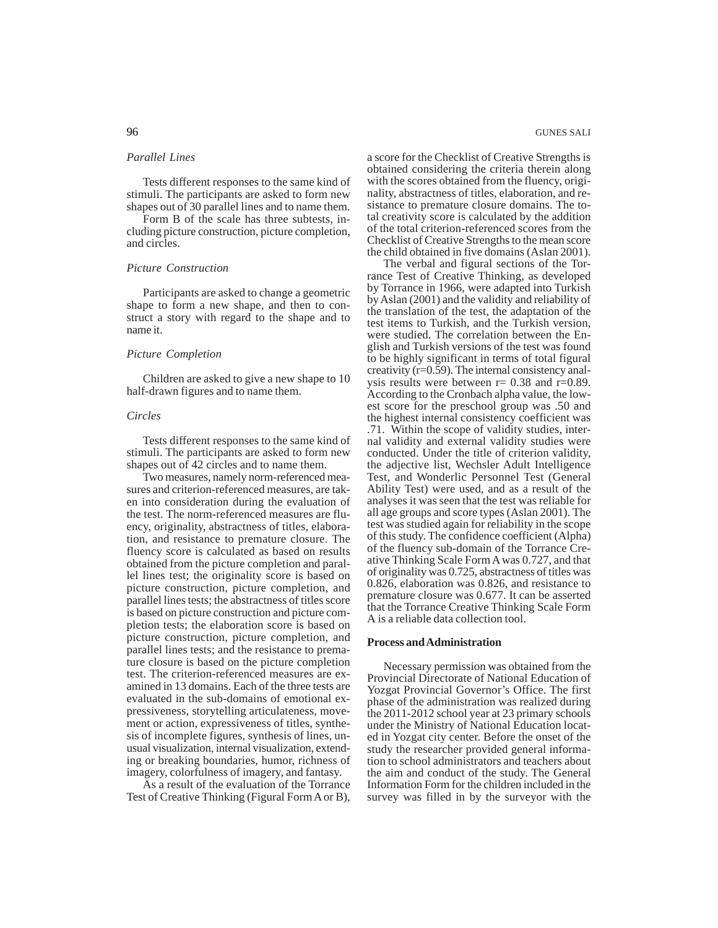#### *Parallel Lines*

Tests different responses to the same kind of stimuli. The participants are asked to form new shapes out of 30 parallel lines and to name them.

Form B of the scale has three subtests, including picture construction, picture completion, and circles.

#### *Picture Construction*

Participants are asked to change a geometric shape to form a new shape, and then to construct a story with regard to the shape and to name it.

#### *Picture Completion*

Children are asked to give a new shape to 10 half-drawn figures and to name them.

#### *Circles*

Tests different responses to the same kind of stimuli. The participants are asked to form new shapes out of 42 circles and to name them.

Two measures, namely norm-referenced measures and criterion-referenced measures, are taken into consideration during the evaluation of the test. The norm-referenced measures are fluency, originality, abstractness of titles, elaboration, and resistance to premature closure. The fluency score is calculated as based on results obtained from the picture completion and parallel lines test; the originality score is based on picture construction, picture completion, and parallel lines tests; the abstractness of titles score is based on picture construction and picture completion tests; the elaboration score is based on picture construction, picture completion, and parallel lines tests; and the resistance to premature closure is based on the picture completion test. The criterion-referenced measures are examined in 13 domains. Each of the three tests are evaluated in the sub-domains of emotional expressiveness, storytelling articulateness, movement or action, expressiveness of titles, synthesis of incomplete figures, synthesis of lines, unusual visualization, internal visualization, extending or breaking boundaries, humor, richness of imagery, colorfulness of imagery, and fantasy.

As a result of the evaluation of the Torrance Test of Creative Thinking (Figural Form A or B),

96 GUNES SALI

a score for the Checklist of Creative Strengths is obtained considering the criteria therein along with the scores obtained from the fluency, originality, abstractness of titles, elaboration, and resistance to premature closure domains. The total creativity score is calculated by the addition of the total criterion-referenced scores from the Checklist of Creative Strengths to the mean score the child obtained in five domains (Aslan 2001).

The verbal and figural sections of the Torrance Test of Creative Thinking, as developed by Torrance in 1966, were adapted into Turkish by Aslan (2001) and the validity and reliability of the translation of the test, the adaptation of the test items to Turkish, and the Turkish version, were studied. The correlation between the English and Turkish versions of the test was found to be highly significant in terms of total figural creativity (r=0.59). The internal consistency analysis results were between  $r= 0.38$  and  $r=0.89$ . According to the Cronbach alpha value, the lowest score for the preschool group was .50 and the highest internal consistency coefficient was .71. Within the scope of validity studies, internal validity and external validity studies were conducted. Under the title of criterion validity, the adjective list, Wechsler Adult Intelligence Test, and Wonderlic Personnel Test (General Ability Test) were used, and as a result of the analyses it was seen that the test was reliable for all age groups and score types (Aslan 2001). The test was studied again for reliability in the scope of this study. The confidence coefficient (Alpha) of the fluency sub-domain of the Torrance Creative Thinking Scale Form A was 0.727, and that of originality was 0.725, abstractness of titles was 0.826, elaboration was 0.826, and resistance to premature closure was 0.677. It can be asserted that the Torrance Creative Thinking Scale Form A is a reliable data collection tool.

# **Process and Administration**

Necessary permission was obtained from the Provincial Directorate of National Education of Yozgat Provincial Governor's Office. The first phase of the administration was realized during the 2011-2012 school year at 23 primary schools under the Ministry of National Education located in Yozgat city center. Before the onset of the study the researcher provided general information to school administrators and teachers about the aim and conduct of the study. The General Information Form for the children included in the survey was filled in by the surveyor with the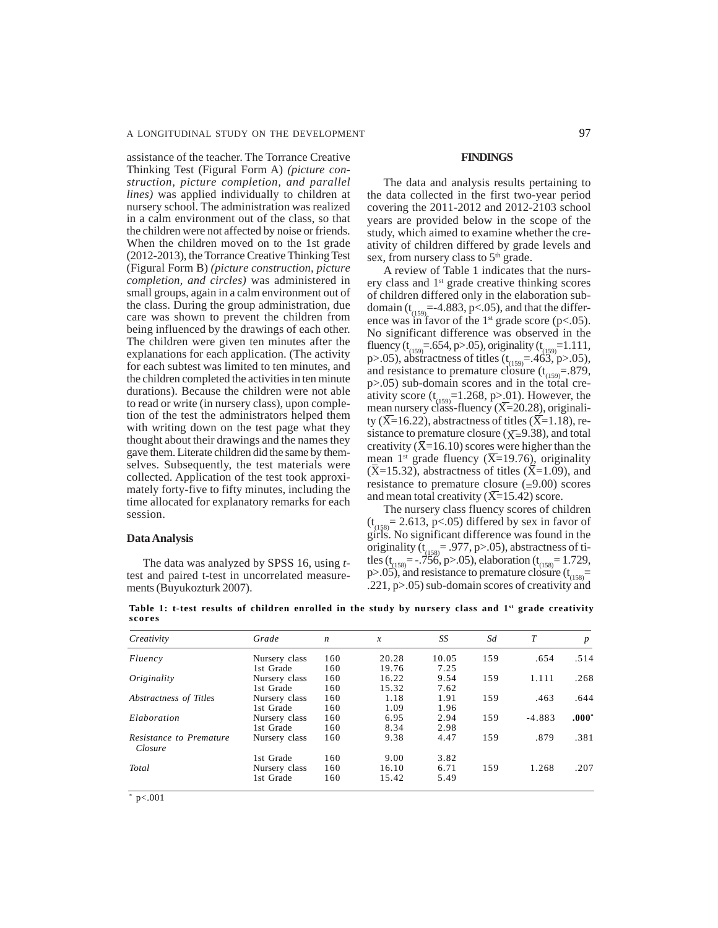assistance of the teacher. The Torrance Creative Thinking Test (Figural Form A) *(picture construction, picture completion, and parallel lines)* was applied individually to children at nursery school. The administration was realized in a calm environment out of the class, so that the children were not affected by noise or friends. When the children moved on to the 1st grade (2012-2013), the Torrance Creative Thinking Test (Figural Form B) *(picture construction, picture completion, and circles)* was administered in small groups, again in a calm environment out of the class. During the group administration, due care was shown to prevent the children from being influenced by the drawings of each other. The children were given ten minutes after the explanations for each application. (The activity for each subtest was limited to ten minutes, and the children completed the activities in ten minute durations). Because the children were not able to read or write (in nursery class), upon completion of the test the administrators helped them with writing down on the test page what they thought about their drawings and the names they gave them. Literate children did the same by themselves. Subsequently, the test materials were collected. Application of the test took approximately forty-five to fifty minutes, including the time allocated for explanatory remarks for each session.

#### **Data Analysis**

The data was analyzed by SPSS 16, using *t*test and paired t-test in uncorrelated measurements (Buyukozturk 2007).

#### **FINDINGS**

The data and analysis results pertaining to the data collected in the first two-year period covering the 2011-2012 and 2012-2103 school years are provided below in the scope of the study, which aimed to examine whether the creativity of children differed by grade levels and sex, from nursery class to 5<sup>th</sup> grade.

A review of Table 1 indicates that the nursery class and 1st grade creative thinking scores of children differed only in the elaboration subdomain ( $t_{(159)}$ =-4.883, p<.05), and that the difference was in favor of the  $1<sup>st</sup>$  grade score (p<.05). No significant difference was observed in the fluency ( $t_{(159)} = .654$ , p>.05), originality ( $t_{(159)} = 1.111$ , p>.05), abstractness of titles  $(t_{(159)} = .463, p>0.05)$ , and resistance to premature closure  $(t_{(159)} = .879)$ , p>.05) sub-domain scores and in the total creativity score  $(t_{(159)}=1.268, p>0.01)$ . However, the mean nursery class-fluency (X=20.28), originality ( $\overline{X}$ =16.22), abstractness of titles ( $\overline{X}$ =1.18), resistance to premature closure ( $\bar{X}$ =9.38), and total creativity ( $\bar{X}$ =16.10) scores were higher than the mean 1<sup>st</sup> grade fluency ( $\overline{X}$ =19.76), originality  $(X=15.32)$ , abstractness of titles  $(X=1.09)$ , and resistance to premature closure  $(=9.00)$  scores and mean total creativity  $(\overline{X}=15.42)$  score.

The nursery class fluency scores of children  $(t_{(158)} = 2.613, p < .05)$  differed by sex in favor of girls. No significant difference was found in the originality ( $t_{(158)}$  = .977, p>.05), abstractness of titles (t<sub>(158)</sub> = -.756, p>.05), elaboration (t<sub>(158)</sub> = 1.729, p>.05), and resistance to premature closure  $(t_{(158)}$ = .221, p>.05) sub-domain scores of creativity and

**Table 1: t-test results of children enrolled in the study by nursery class and 1st grade creativity scores**

| Creativity                         | Grade         | $\boldsymbol{n}$ | $\boldsymbol{x}$ | SS    | Sd  | T        | $\boldsymbol{p}$ |
|------------------------------------|---------------|------------------|------------------|-------|-----|----------|------------------|
| Fluency                            | Nursery class | 160              | 20.28            | 10.05 | 159 | .654     | .514             |
|                                    | 1st Grade     | 160              | 19.76            | 7.25  |     |          |                  |
| Originality                        | Nursery class | 160              | 16.22            | 9.54  | 159 | 1.111    | .268             |
|                                    | 1st Grade     | 160              | 15.32            | 7.62  |     |          |                  |
| Abstractness of Titles             | Nursery class | 160              | 1.18             | 1.91  | 159 | .463     | .644             |
|                                    | 1st Grade     | 160              | 1.09             | 1.96  |     |          |                  |
| Elaboration                        | Nursery class | 160              | 6.95             | 2.94  | 159 | $-4.883$ | $.000*$          |
|                                    | 1st Grade     | 160              | 8.34             | 2.98  |     |          |                  |
| Resistance to Premature<br>Closure | Nursery class | 160              | 9.38             | 4.47  | 159 | .879     | .381             |
|                                    | 1st Grade     | 160              | 9.00             | 3.82  |     |          |                  |
| Total                              | Nursery class | 160              | 16.10            | 6.71  | 159 | 1.268    | .207             |
|                                    | 1st Grade     | 160              | 15.42            | 5.49  |     |          |                  |

 $*$  p<.001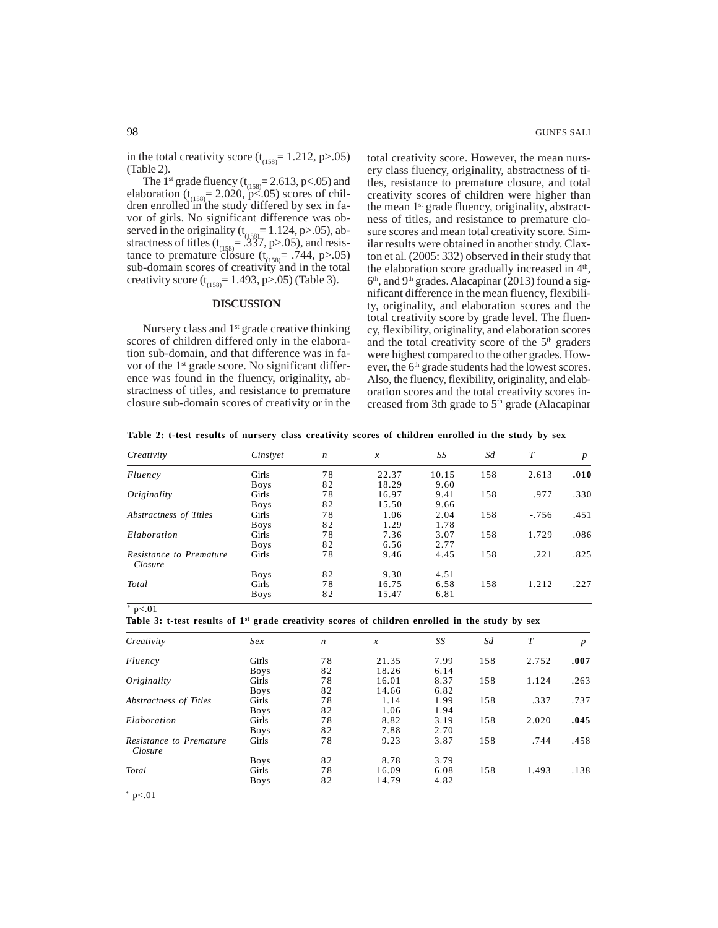in the total creativity score  $(t<sub>(158)</sub> = 1.212, p>0.05)$ (Table 2).

The 1<sup>st</sup> grade fluency  $(t_{(158)} = 2.613, p < .05)$  and elaboration ( $t_{(158)}$  = 2.020, p<.05) scores of children enrolled in the study differed by sex in favor of girls. No significant difference was observed in the originality  $(t_{(158)} = 1.124, p > .05)$ , abstractness of titles ( $t_{(158)} = .337$ , p>.05), and resistance to premature closure  $(t_{(158)} = .744, p > .05)$ sub-domain scores of creativity and in the total creativity score ( $t_{(158)}$ = 1.493, p>.05) (Table 3).

# **DISCUSSION**

Nursery class and 1<sup>st</sup> grade creative thinking scores of children differed only in the elaboration sub-domain, and that difference was in favor of the 1<sup>st</sup> grade score. No significant difference was found in the fluency, originality, abstractness of titles, and resistance to premature closure sub-domain scores of creativity or in the

total creativity score. However, the mean nursery class fluency, originality, abstractness of titles, resistance to premature closure, and total creativity scores of children were higher than the mean  $1<sup>st</sup>$  grade fluency, originality, abstractness of titles, and resistance to premature closure scores and mean total creativity score. Similar results were obtained in another study. Claxton et al. (2005: 332) observed in their study that the elaboration score gradually increased in  $4<sup>th</sup>$ ,  $6<sup>th</sup>$ , and 9<sup>th</sup> grades. Alacapinar (2013) found a significant difference in the mean fluency, flexibility, originality, and elaboration scores and the total creativity score by grade level. The fluency, flexibility, originality, and elaboration scores and the total creativity score of the  $5<sup>th</sup>$  graders were highest compared to the other grades. However, the 6<sup>th</sup> grade students had the lowest scores. Also, the fluency, flexibility, originality, and elaboration scores and the total creativity scores increased from 3th grade to  $5<sup>th</sup>$  grade (Alacapinar

**Table 2: t-test results of nursery class creativity scores of children enrolled in the study by sex**

| Creativity                         | Cinsivet    | $\boldsymbol{n}$ | $\boldsymbol{x}$ | SS    | Sd  | T       | $\boldsymbol{p}$ |
|------------------------------------|-------------|------------------|------------------|-------|-----|---------|------------------|
| Fluency                            | Girls       | 78               | 22.37            | 10.15 | 158 | 2.613   | .010             |
|                                    | <b>Boys</b> | 82               | 18.29            | 9.60  |     |         |                  |
| Originality                        | Girls       | 78               | 16.97            | 9.41  | 158 | .977    | .330             |
|                                    | <b>Boys</b> | 82               | 15.50            | 9.66  |     |         |                  |
| Abstractness of Titles             | Girls       | 78               | 1.06             | 2.04  | 158 | $-.756$ | .451             |
|                                    | <b>Boys</b> | 82               | 1.29             | 1.78  |     |         |                  |
| Elaboration                        | Girls       | 78               | 7.36             | 3.07  | 158 | 1.729   | .086             |
|                                    | <b>Boys</b> | 82               | 6.56             | 2.77  |     |         |                  |
| Resistance to Premature<br>Closure | Girls       | 78               | 9.46             | 4.45  | 158 | .221    | .825             |
|                                    | <b>Boys</b> | 82               | 9.30             | 4.51  |     |         |                  |
| Total                              | Girls       | 78               | 16.75            | 6.58  | 158 | 1.212   | .227             |
|                                    | <b>Boys</b> | 82               | 15.47            | 6.81  |     |         |                  |

 $*$  p<.01

**Table 3: t-test results of 1st grade creativity scores of children enrolled in the study by sex**

| Creativity                         | Sex         | $\boldsymbol{n}$ | $\mathcal{X}$ | SS   | Sd  | T     | $\boldsymbol{p}$ |
|------------------------------------|-------------|------------------|---------------|------|-----|-------|------------------|
| Fluency                            | Girls       | 78               | 21.35         | 7.99 | 158 | 2.752 | .007             |
|                                    | <b>Boys</b> | 82               | 18.26         | 6.14 |     |       |                  |
| Originality                        | Girls       | 78               | 16.01         | 8.37 | 158 | 1.124 | .263             |
|                                    | <b>Boys</b> | 82               | 14.66         | 6.82 |     |       |                  |
| Abstractness of Titles             | Girls       | 78               | 1.14          | 1.99 | 158 | .337  | .737             |
|                                    | <b>Boys</b> | 82               | 1.06          | 1.94 |     |       |                  |
| Elaboration                        | Girls       | 78               | 8.82          | 3.19 | 158 | 2.020 | .045             |
|                                    | <b>Boys</b> | 82               | 7.88          | 2.70 |     |       |                  |
| Resistance to Premature<br>Closure | Girls       | 78               | 9.23          | 3.87 | 158 | .744  | .458             |
|                                    | <b>Boys</b> | 82               | 8.78          | 3.79 |     |       |                  |
| Total                              | Girls       | 78               | 16.09         | 6.08 | 158 | 1.493 | .138             |
|                                    | <b>Boys</b> | 82               | 14.79         | 4.82 |     |       |                  |

 $*$  p<.01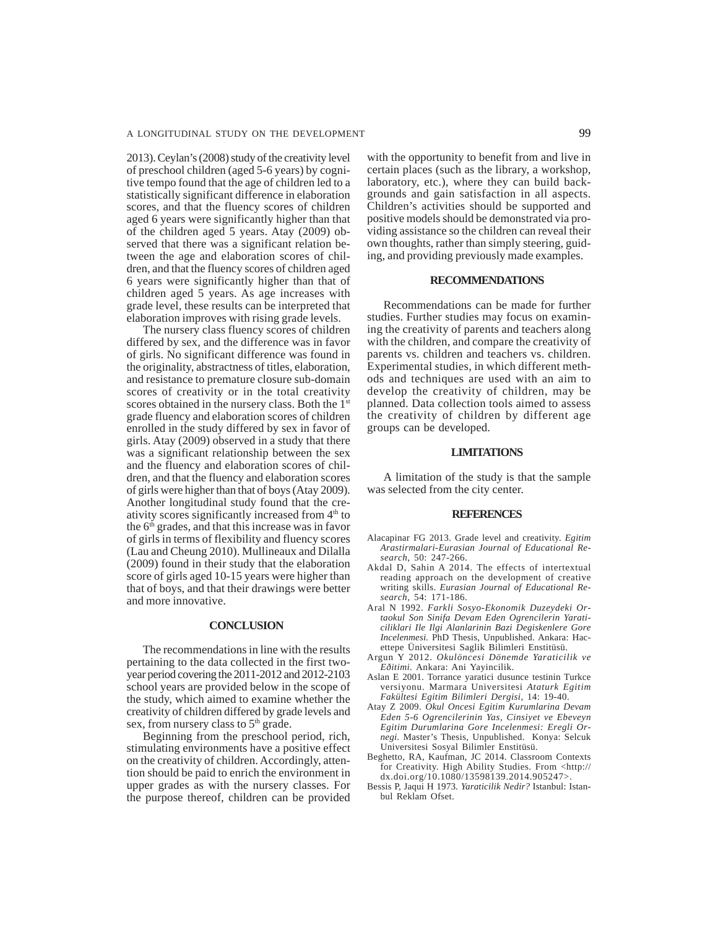2013). Ceylan's (2008) study of the creativity level of preschool children (aged 5-6 years) by cognitive tempo found that the age of children led to a statistically significant difference in elaboration scores, and that the fluency scores of children aged 6 years were significantly higher than that of the children aged 5 years. Atay (2009) observed that there was a significant relation between the age and elaboration scores of children, and that the fluency scores of children aged 6 years were significantly higher than that of children aged 5 years. As age increases with grade level, these results can be interpreted that elaboration improves with rising grade levels.

The nursery class fluency scores of children differed by sex, and the difference was in favor of girls. No significant difference was found in the originality, abstractness of titles, elaboration, and resistance to premature closure sub-domain scores of creativity or in the total creativity scores obtained in the nursery class. Both the 1<sup>st</sup> grade fluency and elaboration scores of children enrolled in the study differed by sex in favor of girls. Atay (2009) observed in a study that there was a significant relationship between the sex and the fluency and elaboration scores of children, and that the fluency and elaboration scores of girls were higher than that of boys (Atay 2009). Another longitudinal study found that the creativity scores significantly increased from  $4<sup>th</sup>$  to the 6<sup>th</sup> grades, and that this increase was in favor of girls in terms of flexibility and fluency scores (Lau and Cheung 2010). Mullineaux and Dilalla (2009) found in their study that the elaboration score of girls aged 10-15 years were higher than that of boys, and that their drawings were better and more innovative.

#### **CONCLUSION**

The recommendations in line with the results pertaining to the data collected in the first twoyear period covering the 2011-2012 and 2012-2103 school years are provided below in the scope of the study, which aimed to examine whether the creativity of children differed by grade levels and sex, from nursery class to 5<sup>th</sup> grade.

Beginning from the preschool period, rich, stimulating environments have a positive effect on the creativity of children. Accordingly, attention should be paid to enrich the environment in upper grades as with the nursery classes. For the purpose thereof, children can be provided with the opportunity to benefit from and live in certain places (such as the library, a workshop, laboratory, etc.), where they can build backgrounds and gain satisfaction in all aspects. Children's activities should be supported and positive models should be demonstrated via providing assistance so the children can reveal their own thoughts, rather than simply steering, guiding, and providing previously made examples.

### **RECOMMENDATIONS**

Recommendations can be made for further studies. Further studies may focus on examining the creativity of parents and teachers along with the children, and compare the creativity of parents vs. children and teachers vs. children. Experimental studies, in which different methods and techniques are used with an aim to develop the creativity of children, may be planned. Data collection tools aimed to assess the creativity of children by different age groups can be developed.

# **LIMITATIONS**

A limitation of the study is that the sample was selected from the city center.

#### **REFERENCES**

- Alacapinar FG 2013. Grade level and creativity. *Egitim Arastirmalari-Eurasian Journal of Educational Research*, 50: 247-266.
- Akdal D, Sahin A 2014. The effects of intertextual reading approach on the development of creative writing skills. *Eurasian Journal of Educational Research,* 54: 171-186.
- Aral N 1992. *Farkli Sosyo-Ekonomik Duzeydeki Ortaokul Son Sinifa Devam Eden Ogrencilerin Yaraticiliklari Ile Ilgi Alanlarinin Bazi Degiskenlere Gore Incelenmesi.* PhD Thesis, Unpublished. Ankara: Hacettepe Üniversitesi Saglik Bilimleri Enstitüsü.
- Argun Y 2012. *Okulöncesi Dönemde Yaraticilik ve Eðitimi.* Ankara: Ani Yayincilik.
- Aslan E 2001. Torrance yaratici dusunce testinin Turkce versiyonu. Marmara Universitesi *Ataturk Egitim Fakültesi Egitim Bilimleri Dergisi*, 14: 19-40.
- Atay Z 2009. *Okul Oncesi Egitim Kurumlarina Devam Eden 5-6 Ogrencilerinin Yas, Cinsiyet ve Ebeveyn Egitim Durumlarina Gore Incelenmesi: Eregli Ornegi.* Master's Thesis, Unpublished. Konya: Selcuk Universitesi Sosyal Bilimler Enstitüsü.
- Beghetto, RA, Kaufman, JC 2014. Classroom Contexts for Creativity. High Ability Studies. From <http:// dx.doi.org/10.1080/13598139.2014.905247>.
- Bessis P, Jaqui H 1973. *Yaraticilik Nedir?* Istanbul: Istanbul Reklam Ofset.